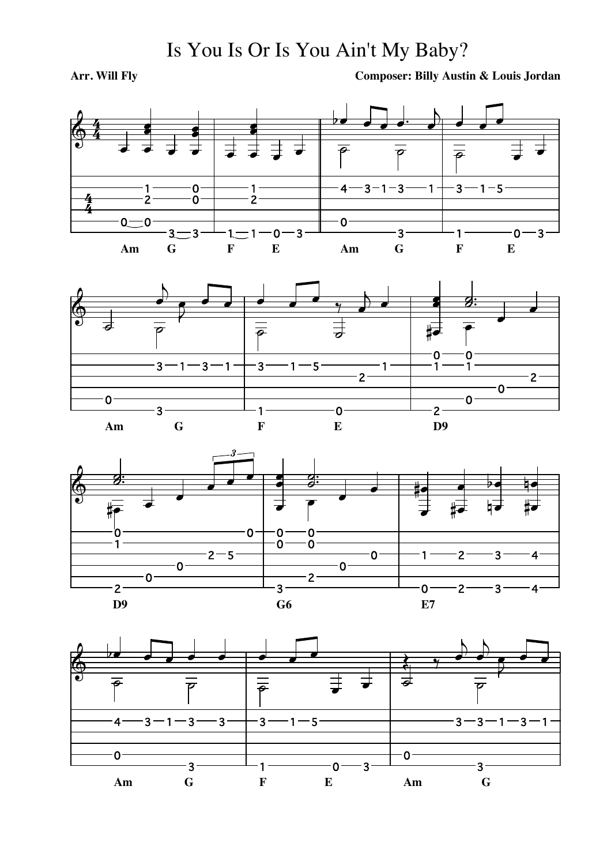## Is You Is Or Is You Ain't My Baby?

## Arr. Will Fly

**Composer: Billy Austin & Louis Jordan** 







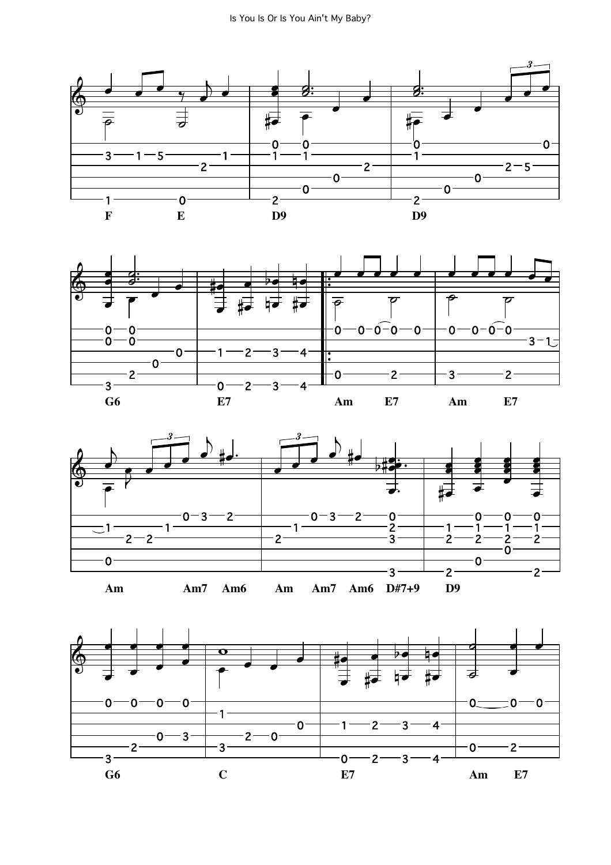





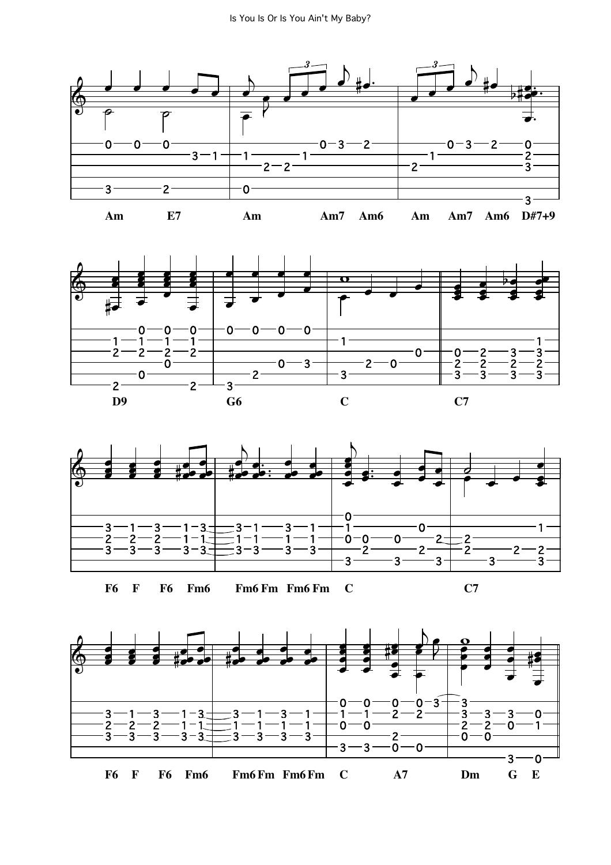





**F6 F F6 Fm6 Fm6 Fm Fm6 Fm C C7**



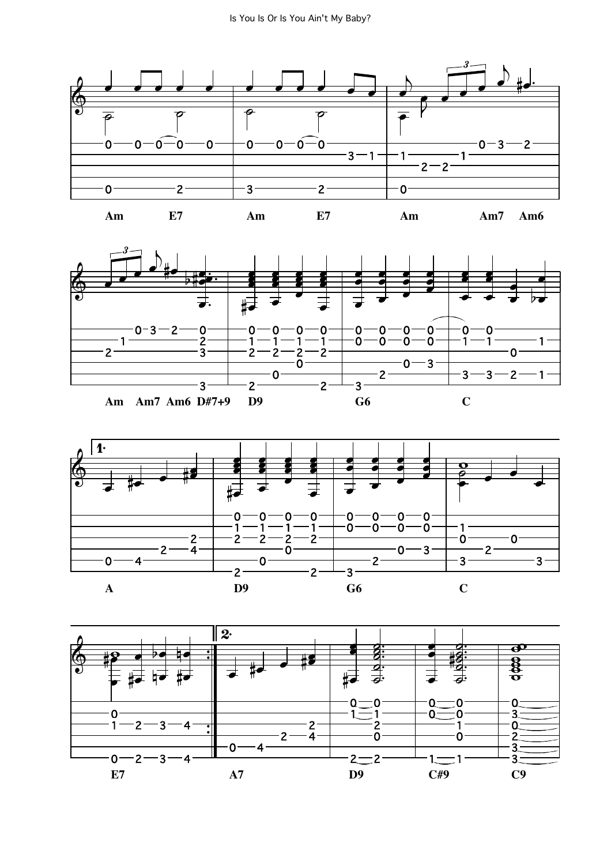